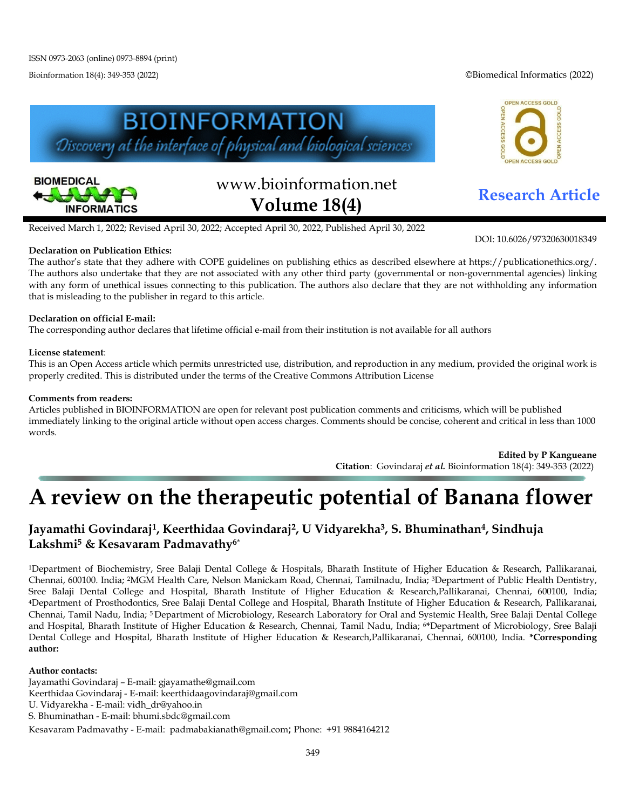Bioinformation 18(4): 349-353 (2022) ©Biomedical Informatics (2022)





# www.bioinformation.net **Research Article Volume 18(4)**



DOI: 10.6026/97320630018349

Received March 1, 2022; Revised April 30, 2022; Accepted April 30, 2022, Published April 30, 2022

#### **Declaration on Publication Ethics:**

The author's state that they adhere with COPE guidelines on publishing ethics as described elsewhere at https://publicationethics.org/. The authors also undertake that they are not associated with any other third party (governmental or non-governmental agencies) linking with any form of unethical issues connecting to this publication. The authors also declare that they are not withholding any information that is misleading to the publisher in regard to this article.

### **Declaration on official E-mail:**

The corresponding author declares that lifetime official e-mail from their institution is not available for all authors

#### **License statement**:

This is an Open Access article which permits unrestricted use, distribution, and reproduction in any medium, provided the original work is properly credited. This is distributed under the terms of the Creative Commons Attribution License

#### **Comments from readers:**

Articles published in BIOINFORMATION are open for relevant post publication comments and criticisms, which will be published immediately linking to the original article without open access charges. Comments should be concise, coherent and critical in less than 1000 words.

> **Edited by P Kangueane Citation**: Govindaraj *et al.* Bioinformation 18(4): 349-353 (2022)

## **A review on the therapeutic potential of Banana flower**

## **Jayamathi Govindaraj1, Keerthidaa Govindaraj2, U Vidyarekha3, S. Bhuminathan4, Sindhuja Lakshmi5 & Kesavaram Padmavathy6**\*

1Department of Biochemistry, Sree Balaji Dental College & Hospitals, Bharath Institute of Higher Education & Research, Pallikaranai, Chennai, 600100. India; 2MGM Health Care, Nelson Manickam Road, Chennai, Tamilnadu, India; 3Department of Public Health Dentistry, Sree Balaji Dental College and Hospital, Bharath Institute of Higher Education & Research,Pallikaranai, Chennai, 600100, India; 4Department of Prosthodontics, Sree Balaji Dental College and Hospital, Bharath Institute of Higher Education & Research, Pallikaranai, Chennai, Tamil Nadu, India; 5 Department of Microbiology, Research Laboratory for Oral and Systemic Health, Sree Balaji Dental College and Hospital, Bharath Institute of Higher Education & Research, Chennai, Tamil Nadu, India; 6**\***Department of Microbiology, Sree Balaji Dental College and Hospital, Bharath Institute of Higher Education & Research,Pallikaranai, Chennai, 600100, India. **\*Corresponding author:** 

#### **Author contacts:**

Jayamathi Govindaraj – E-mail: [gjayamathe@gmail.com](mailto:gjayamathe@gmail.com) Keerthidaa Govindaraj - E-mail[: keerthidaagovindaraj@gmail.com](mailto:keerthidaagovindaraj@gmail.com) U. Vidyarekha - E-mail[: vidh\\_dr@yahoo.in](mailto:vidh_dr@yahoo.in) S. Bhuminathan - E-mail: [bhumi.sbdc@gmail.com](mailto:bhumi.sbdc@gmail.com) Kesavaram Padmavathy - E-mail: [padmabakianath@gmail.com](mailto:padmabakianath@gmail.com); Phone: +91 9884164212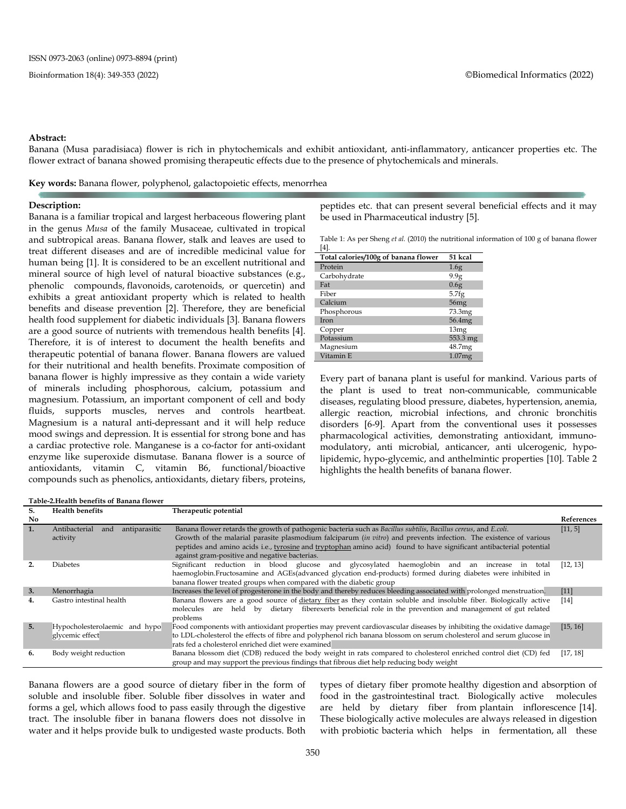#### **Abstract:**

Banana (Musa paradisiaca) flower is rich in phytochemicals and exhibit antioxidant, anti-inflammatory, anticancer properties etc. The flower extract of banana showed promising therapeutic effects due to the presence of phytochemicals and minerals.

**Key words:** Banana flower, polyphenol, galactopoietic effects, menorrhea

#### **Description:**

Banana is a familiar tropical and largest herbaceous flowering plant in the genus *Musa* of the family Musaceae, cultivated in tropical and subtropical areas. Banana flower, stalk and leaves are used to treat different diseases and are of incredible medicinal value for human being [1]. It is considered to be an excellent nutritional and mineral source of high level of natural bioactive substances (e.g., phenolic compounds, [flavonoids,](https://www.sciencedirect.com/topics/agricultural-and-biological-sciences/flavonoids) [carotenoids,](https://www.sciencedirect.com/topics/agricultural-and-biological-sciences/carotenoid) or quercetin) and exhibits a great antioxidant property which is related to health benefits and disease prevention [2]. Therefore, they are beneficial health food supplement for diabetic individuals [3]. Banana flowers are a good source of nutrients with tremendous health benefits [4]. Therefore, it is of interest to document the health benefits and therapeutic potential of banana flower. Banana flowers are valued for their nutritional and health benefits. Proximate composition of [banana flower i](https://www.medindia.net/patients/lifestyleandwellness/medicinal-properties-of-the-banana-plant.htm)s highly impressive as they contain a wide variety of minerals including phosphorous, calcium, potassium and magnesium. Potassium, an important component of cell and body fluids, supports muscles, nerves and controls heartbeat. Magnesium is a natural anti-depressant and it will help reduce mood swings and [depression.](https://www.medindia.net/symptoms/depression.htm) It is essential for strong bone and has a cardiac protective role. Manganese is a co-factor for anti-oxidant enzyme like superoxide dismutase. Banana flower is a source of antioxidants, vitamin C, vitamin B6, functional/bioactive compounds such as phenolics, antioxidants, dietary fibers, proteins,

peptides etc. that can present several beneficial effects and it may be used in Pharmaceutical industry [5].

Table 1: As per Sheng *et al.* (2010) the nutritional information of 100 g of banana flower [4].

| $\mathbf{r}$                         |                  |
|--------------------------------------|------------------|
| Total calories/100g of banana flower | 51 kcal          |
| Protein                              | 1.6 <sub>g</sub> |
| Carbohydrate                         | 9.9g             |
| Fat                                  | 0.6g             |
| Fiber                                | 5.7fg            |
| Calcium                              | 56mg             |
| Phosphorous                          | 73.3mg           |
| Iron                                 | 56.4mg           |
| Copper                               | 13mg             |
| Potassium                            | 553.3 mg         |
| Magnesium                            | 48.7mg           |
| Vitamin E                            | 1.07mg           |

Every part of banana plant is useful for mankind. Various parts of the plant is used to treat non-communicable, communicable diseases, regulating blood pressure, diabetes, hypertension, anemia, allergic reaction, microbial infections, and chronic bronchitis disorders [6-9]. Apart from the conventional uses it possesses pharmacological activities, demonstrating antioxidant, immunomodulatory, anti microbial, anticancer, anti ulcerogenic, hypolipidemic, hypo-glycemic, and anthelmintic properties [10]. Table 2 highlights the health benefits of banana flower.

#### **Table-2.Health benefits of Banana flower**

| S.  | <b>Health benefits</b>                            | Therapeutic potential                                                                                                                                                                                                                                                                                                                                                                                         |                   |
|-----|---------------------------------------------------|---------------------------------------------------------------------------------------------------------------------------------------------------------------------------------------------------------------------------------------------------------------------------------------------------------------------------------------------------------------------------------------------------------------|-------------------|
| No. |                                                   |                                                                                                                                                                                                                                                                                                                                                                                                               | <b>References</b> |
| 1.  | Antibacterial<br>antiparasitic<br>and<br>activity | Banana flower retards the growth of pathogenic bacteria such as Bacillus subtilis, Bacillus cereus, and E.coli.<br>Growth of the malarial parasite plasmodium falciparum (in vitro) and prevents infection. The existence of various<br>peptides and amino acids i.e., tyrosine and tryptophan amino acid) found to have significant antibacterial potential<br>against gram-positive and negative bacterias. | [11, 5]           |
|     | <b>Diabetes</b>                                   | Significant reduction in blood glucose and glycosylated haemoglobin<br>and<br>increase in<br>total<br>an<br>haemoglobin.Fructosamine and AGEs(advanced glycation end-products) formed during diabetes were inhibited in<br>banana flower treated groups when compared with the diabetic group                                                                                                                 | [12, 13]          |
| 3.  | Menorrhagia                                       | Increases the level of progesterone in the body and thereby reduces bleeding associated with prolonged menstruation.                                                                                                                                                                                                                                                                                          | $[11]$            |
| 4.  | Gastro intestinal health                          | Banana flowers are a good source of dietary fiber as they contain soluble and insoluble fiber. Biologically active<br>held by dietary fiberexerts beneficial role in the prevention and management of gut related<br>molecules are<br>problems                                                                                                                                                                | $[14]$            |
| 5.  | Hypocholesterolaemic and hypo<br>glycemic effect  | Food components with antioxidant properties may prevent cardiovascular diseases by inhibiting the oxidative damage<br>to LDL-cholesterol the effects of fibre and polyphenol rich banana blossom on serum cholesterol and serum glucose in<br>rats fed a cholesterol enriched diet were examined                                                                                                              | [15, 16]          |
| 6.  | Body weight reduction                             | Banana blossom diet (CDB) reduced the body weight in rats compared to cholesterol enriched control diet (CD) fed<br>group and may support the previous findings that fibrous diet help reducing body weight                                                                                                                                                                                                   | [17, 18]          |

Banana flowers are a good source of [dietary fiber](https://www.medindia.net/patients/lifestyleandwellness/benefits-of-dietary-fibre.htm) in the form of soluble and insoluble fiber. Soluble fiber dissolves in water and forms a gel, which allows food to pass easily through the digestive tract. The insoluble fiber in banana flowers does not dissolve in water and it helps provide bulk to undigested waste products. Both types of dietary fiber promote [healthy digestion](https://www.medindia.net/patients/lifestyleandwellness/wonder-herbs-for-those-digestion-blues-healthy-digestion.htm) and absorption of food in the gastrointestinal tract. Biologically active molecules are held by dietary fiber from plantain inflorescence [14]. These biologically active molecules are always released in digestion with probiotic bacteria which helps in fermentation, all these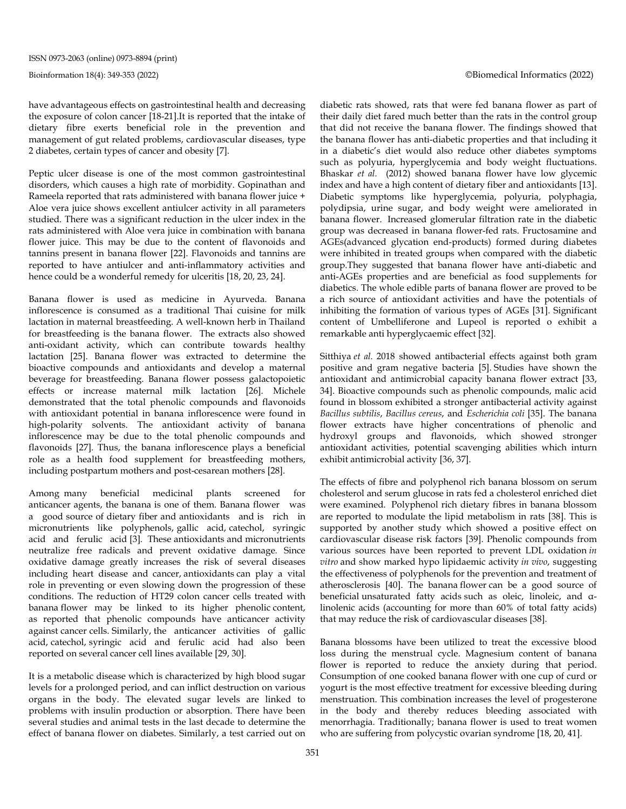have advantageous effects on gastrointestinal health and decreasing the exposure of colon cancer [18-21].It is reported that the intake of dietary fibre exerts beneficial role in the prevention and management of gut related problems, cardiovascular diseases, type 2 diabetes, certain types of cancer and obesity [7].

Peptic ulcer disease is one of the most common gastrointestinal disorders, which causes a high rate of morbidity. Gopinathan and Rameela reported that rats administered with banana flower juice + Aloe vera juice shows excellent antiulcer activity in all parameters studied. There was a significant reduction in the ulcer index in the rats administered with Aloe vera juice in combination with banana flower juice. This may be due to the content of flavonoids and tannins present in banana flower [22]. Flavonoids and tannins are reported to have antiulcer and anti-inflammatory activities and hence could be a wonderful remedy for ulceritis [18, 20, 23, 24].

Banana flower is used as medicine in Ayurveda. Banana inflorescence is consumed as a traditional Thai cuisine for milk lactation in maternal breastfeeding. A well-known herb in Thailand for breastfeeding is the banana flower. The extracts also showed anti-oxidant activity, which can contribute towards healthy lactation [25]. Banana flower was extracted to determine the bioactive compounds and antioxidants and develop a maternal beverage for breastfeeding. Banana flower possess galactopoietic effects or increase maternal milk lactation [26]. Michele demonstrated that the total phenolic compounds and flavonoids with antioxidant potential in banana inflorescence were found in high-polarity solvents. The antioxidant activity of banana inflorescence may be due to the total phenolic compounds and flavonoids [27]. Thus, the banana inflorescence plays a beneficial role as a health food supplement for breastfeeding mothers, including postpartum mothers and post-cesarean mothers [28].

Among many beneficial medicinal plants screened for anticancer agents, the banana is one of them. Banana flower was a good source of dietary fiber and antioxidants and is rich in micronutrients like polyphenols, gallic acid, catechol, syringic acid and ferulic acid [3]. These antioxidants and micronutrients neutralize free radicals and prevent oxidative damage. Since oxidative damage greatly increases the risk of several diseases including heart disease and cancer, [antioxidants](https://www.medindia.net/patients/calculators/antioxidant-food-chart.asp) can play a vital role in preventing or even slowing down the progression of these conditions. The reduction of HT29 colon cancer cells treated with banana flower may be linked to its higher phenolic content, as reported that phenolic compounds have anticancer activity against cancer cells. Similarly, the anticancer activities of gallic acid, catechol, syringic acid and ferulic acid had also been reported on several cancer cell lines available [29, 30].

It is a metabolic disease which is characterized by high blood sugar levels for a prolonged period, and can inflict destruction on various organs in the body. The elevated sugar levels are linked to problems with insulin production or absorption. There have been several studies and animal tests in the last decade to determine the effect of banana flower on diabetes. Similarly, a test carried out on diabetic rats showed, rats that were fed banana flower as part of their daily diet fared much better than the rats in the control group that did not receive the banana flower. The findings showed that the banana flower has anti-diabetic properties and that including it in a diabetic's diet would also reduce other diabetes symptoms such as polyuria, hyperglycemia and body weight fluctuations. [Bhaskar](https://pubmed.ncbi.nlm.nih.gov/?term=Bhaskar+JJ&cauthor_id=21476022) *et al.* (2012) showed banana flower have low glycemic index and have a high content of dietary fiber and antioxidants [13]. Diabetic symptoms like hyperglycemia, polyuria, polyphagia, polydipsia, urine sugar, and body weight were ameliorated in banana flower. Increased glomerular filtration rate in the diabetic group was decreased in banana flower-fed rats. Fructosamine and AGEs(advanced glycation end-products) formed during diabetes were inhibited in treated groups when compared with the diabetic group.They suggested that banana flower have anti-diabetic and anti-AGEs properties and are beneficial as food supplements for diabetics. The whole edible parts of banana flower are proved to be a rich source of antioxidant activities and have the potentials of inhibiting the formation of various types of AGEs [31]. Significant content of Umbelliferone and Lupeol is reported o exhibit a remarkable anti hyperglycaemic effect [32].

Sitthiya *et al.* 2018 showed antibacterial effects against both gram positive and gram negative bacteria [5]. Studies have shown the antioxidant and antimicrobial capacity banana flower extract [33, 34]. Bioactive compounds such as phenolic compounds, malic acid found in blossom exhibited a stronger antibacterial activity against *Bacillus subtilis*, *Bacillus cereus*, and *Escherichia coli* [35]. The banana flower extracts have higher concentrations of phenolic and hydroxyl groups and flavonoids, which showed stronger antioxidant activities, potential scavenging abilities which inturn exhibit antimicrobial activity [36, 37].

The effects of fibre and polyphenol rich banana blossom on serum cholesterol and serum glucose in rats fed a cholesterol enriched diet were examined. Polyphenol rich dietary fibres in banana blossom are reported to modulate the lipid metabolism in rats [38]. This is supported by another study which showed a positive effect on cardiovascular disease risk factors [39]. Phenolic compounds from various sources have been reported to prevent LDL oxidation *in vitro* and show marked hypo lipidaemic activity *in vivo*, suggesting the effectiveness of polyphenols for the prevention and treatment of atherosclerosis [40]. The banana flower can be a good source of beneficial [unsaturated fatty acids](https://www.sciencedirect.com/topics/agricultural-and-biological-sciences/unsaturated-fatty-acids) such as oleic, linoleic, and αlinolenic acids (accounting for more than 60% of total fatty acids) that may reduce the risk of cardiovascular diseases [38].

Banana blossoms have been utilized to treat the excessive blood loss during the menstrual cycle. Magnesium content of banana flower is reported to reduce the anxiety during that period. Consumption of one cooked banana flower with one cup of curd or yogurt is the most effective treatment for excessive bleeding during menstruation. This combination increases the level of progesterone in the body and thereby reduces bleeding associated with menorrhagia. Traditionally; banana flower is used to treat women who are suffering from polycystic ovarian syndrome [18, 20, 41].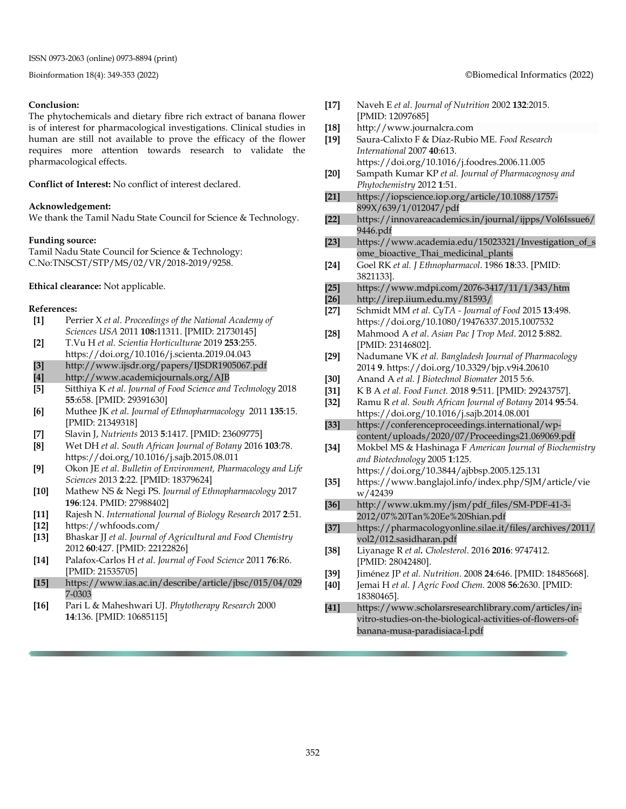#### **Conclusion:**

The phytochemicals and dietary fibre rich extract of banana flower is of interest for pharmacological investigations. Clinical studies in human are still not available to prove the efficacy of the flower requires more attention towards research to validate the pharmacological effects.

**Conflict of Interest:** No conflict of interest declared.

#### **Acknowledgement:**

We thank the Tamil Nadu State Council for Science & Technology.

#### **Funding source:**

Tamil Nadu State Council for Science & Technology: C.No:TNSCST/STP/MS/02/VR/2018-2019/9258.

**Ethical clearance:** Not applicable.

#### **References:**

| $[1]$ | Perrier X et al. Proceedings of the National Academy of |
|-------|---------------------------------------------------------|
|       | Sciences USA 2011 108:11311. [PMID: 21730145]           |

- **[2]** T.Vu H *et al. Scientia Horticulturae* 2019 **253**:255. https://doi.org/10.1016/j.scienta.2019.04.043
- **[3]** <http://www.ijsdr.org/papers/IJSDR1905067.pdf>
- **[4]** <http://www.academicjournals.org/AJB>
- **[5]** Sitthiya K *et al*. *Journal of Food Science and Technology* 2018 **55**:658. [PMID: 29391630]
- **[6]** Muthee JK *et al*. *Journal of Ethnopharmacology* 2011 **135**:15. [PMID: 21349318]
- **[7]** Slavin J, *Nutrients* 2013 **5**:1417. [PMID: 23609775]
- **[8]** Wet DH *et al. South African Journal of Botany* 2016 **103**:78. https://doi.org/10.1016/j.sajb.2015.08.011
- **[9]** Okon JE *et al*. *Bulletin of Environment, Pharmacology and Life Sciences* 2013 **2**:22. [PMID: 18379624]
- **[10]** Mathew NS & Negi PS. *Journal of Ethnopharmacology* 2017 **196**:124. PMID: 27988402]
- **[11]** Rajesh N. *International Journal of Biology Research* 2017 **2**:51.
- **[12]** https://whfoods.com/
- **[13]** Bhaskar JJ *et al*. *Journal of Agricultural and Food Chemistry*  2012 **60**:427. [PMID: 22122826]
- **[14]** Palafox-Carlos H *et al*. *Journal of Food Science* 2011 **76**:R6. [PMID: [21535705\]](https://www.ncbi.nlm.nih.gov/pubmed/21535705)
- **[15]** https://www.ias.ac.in/describe/article/jbsc/015/04/029 7-0303
- **[16]** Pari L & Maheshwari UJ. *Phytotherapy Research* 2000 **14**:136. [PMID: 10685115]
- **[17]** Naveh E *et al*. *Journal of Nutrition* 2002 **132**:2015. [PMID: 12097685]
- **[18]** http://www.journalcra.com
- **[19]** Saura-Calixto F & Díaz-Rubio ME. *Food Research International* 2007 **40**:613. https://doi.org/10.1016/j.foodres.2006.11.005
- **[20]** Sampath Kumar KP *et al. Journal of Pharmacognosy and Phytochemistry* 2012 **1**:51.
- **[21]** [https://iopscience.iop.org/article/10.1088/1757-](https://iopscience.iop.org/article/10.1088/1757-899X/639/1/012047/pdf) [899X/639/1/012047/pdf](https://iopscience.iop.org/article/10.1088/1757-899X/639/1/012047/pdf)
- **[22]** [https://innovareacademics.in/journal/ijpps/Vol6Issue6/](https://innovareacademics.in/journal/ijpps/Vol6Issue6/9446.pdf) [9446.pdf](https://innovareacademics.in/journal/ijpps/Vol6Issue6/9446.pdf)
- **[23]** [https://www.academia.edu/15023321/Investigation\\_of\\_s](https://www.academia.edu/15023321/Investigation_of_some_bioactive_Thai_medicinal_plants) [ome\\_bioactive\\_Thai\\_medicinal\\_plants](https://www.academia.edu/15023321/Investigation_of_some_bioactive_Thai_medicinal_plants)
- **[24]** Goel RK *et al. J Ethnopharmacol*. 1986 **18**:33. [PMID: 3821133].
- **[25]** <https://www.mdpi.com/2076-3417/11/1/343/htm>
- **[26]** <http://irep.iium.edu.my/81593/>
- **[27]** Schmidt MM *et al. CyTA - Journal of Food* 2015 **13**:498. https://doi.org/10.1080/19476337.2015.1007532
- **[28]** Mahmood A *et al*. *Asian Pac J Trop Med*. 2012 **5**:882. [PMID: 23146802].
- **[29]** Nadumane VK *et al. Bangladesh Journal of Pharmacology* 2014 **9**. https://doi.org/10.3329/bjp.v9i4.20610
- **[30]** Anand A *et al. J Biotechnol Biomater 2*015 5:6.
- **[31]** K B A *et al. Food Funct.* 2018 **9**:511. [PMID: 29243757].
- **[32]** Ramu R *et al. South African Journal of Botany* 2014 **95**:54. https://doi.org/10.1016/j.sajb.2014.08.001
- **[33]** [https://conferenceproceedings.international/wp](https://conferenceproceedings.international/wp-content/uploads/2020/07/Proceedings21.069069.pdf)[content/uploads/2020/07/Proceedings21.069069.pdf](https://conferenceproceedings.international/wp-content/uploads/2020/07/Proceedings21.069069.pdf)
- **[34]** Mokbel MS & Hashinaga F *American Journal of Biochemistry and Biotechnology* 2005 **1**:125.
- https://doi.org/10.3844/ajbbsp.2005.125.131 **[35]** https://www.banglajol.info/index.php/SJM/article/vie
- w/42439 **[36]** [http://www.ukm.my/jsm/pdf\\_files/SM-PDF-41-3-](http://www.ukm.my/jsm/pdf_files/SM-PDF-41-3-2012/07%20Tan%20Ee%20Shian.pdf)
- [2012/07%20Tan%20Ee%20Shian.pdf](http://www.ukm.my/jsm/pdf_files/SM-PDF-41-3-2012/07%20Tan%20Ee%20Shian.pdf)
- **[37]** [https://pharmacologyonline.silae.it/files/archives/2011/](https://pharmacologyonline.silae.it/files/archives/2011/vol2/012.sasidharan.pdf) [vol2/012.sasidharan.pdf](https://pharmacologyonline.silae.it/files/archives/2011/vol2/012.sasidharan.pdf)
- **[38]** Liyanage R *et al. [Cholesterol](https://www.ncbi.nlm.nih.gov/pmc/articles/PMC5155093/)*. 2016 **2016**: 9747412. [PMID: 28042480].
- **[39]** Jiménez JP *et al. Nutrition*. 2008 **24**:646. [PMID: 18485668].
- **[40]** Jemai H *et al. J Agric Food Chem.* 2008 **56**:2630. [PMID: 18380465].
- **[41]** [https://www.scholarsresearchlibrary.com/articles/in](https://www.scholarsresearchlibrary.com/articles/in-vitro-studies-on-the-biological-activities-of-flowers-of-banana-musa-paradisiaca-l.pdf)[vitro-studies-on-the-biological-activities-of-flowers-of](https://www.scholarsresearchlibrary.com/articles/in-vitro-studies-on-the-biological-activities-of-flowers-of-banana-musa-paradisiaca-l.pdf)[banana-musa-paradisiaca-l.pdf](https://www.scholarsresearchlibrary.com/articles/in-vitro-studies-on-the-biological-activities-of-flowers-of-banana-musa-paradisiaca-l.pdf)